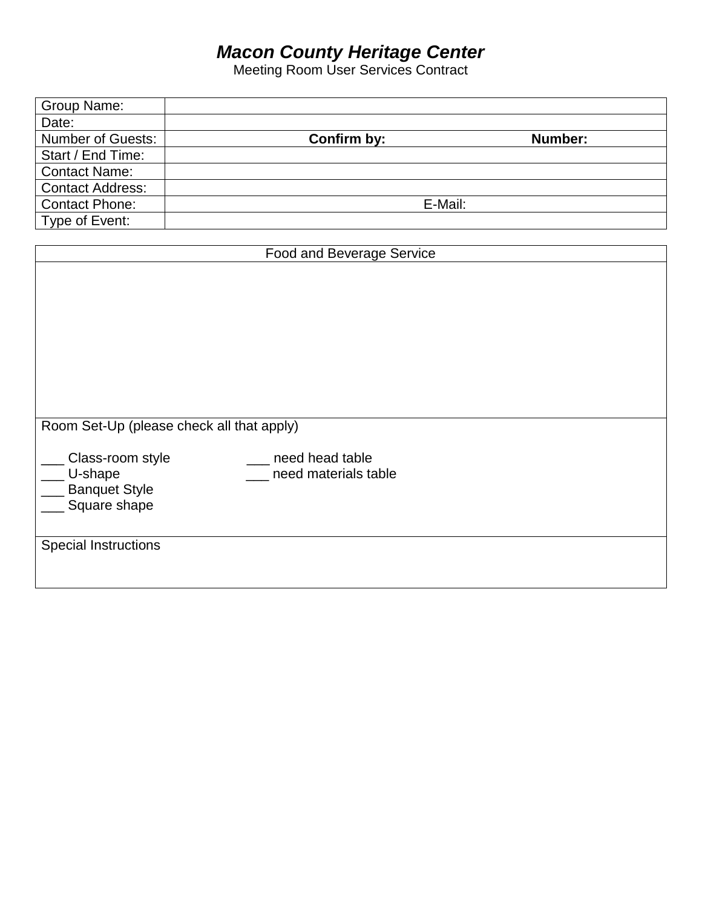# *Macon County Heritage Center*

Meeting Room User Services Contract

| Group Name:              |             |         |
|--------------------------|-------------|---------|
| Date:                    |             |         |
| <b>Number of Guests:</b> | Confirm by: | Number: |
| Start / End Time:        |             |         |
| <b>Contact Name:</b>     |             |         |
| <b>Contact Address:</b>  |             |         |
| <b>Contact Phone:</b>    | E-Mail:     |         |
| Type of Event:           |             |         |

| Food and Beverage Service                                           |                                         |  |
|---------------------------------------------------------------------|-----------------------------------------|--|
|                                                                     |                                         |  |
| Room Set-Up (please check all that apply)                           |                                         |  |
| Class-room style<br>U-shape<br><b>Banquet Style</b><br>Square shape | need head table<br>need materials table |  |
| <b>Special Instructions</b>                                         |                                         |  |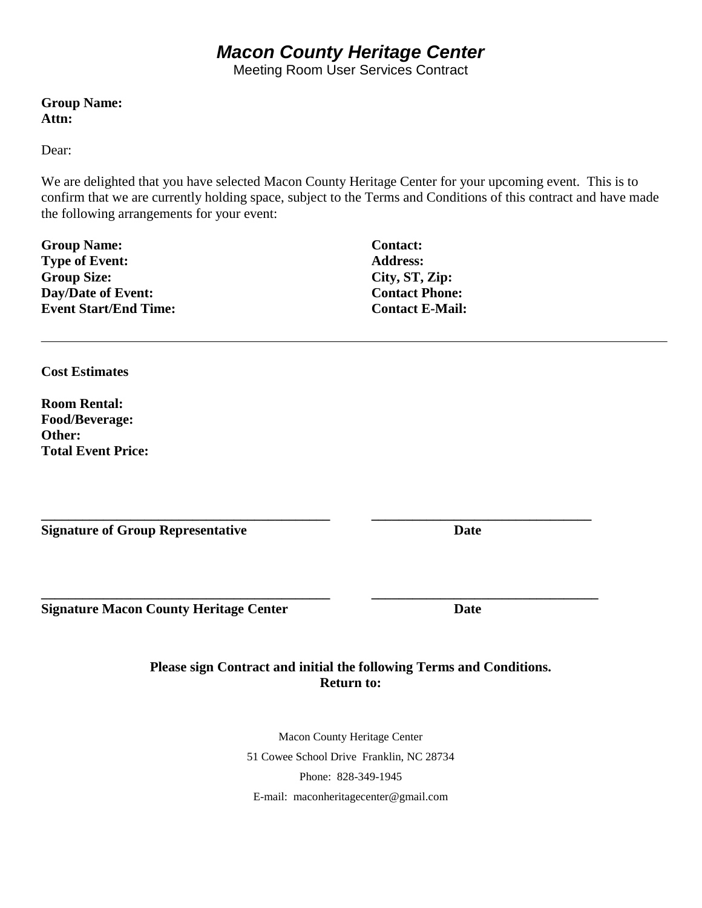# *Macon County Heritage Center*

Meeting Room User Services Contract

**Group Name: Attn:** 

Dear:

We are delighted that you have selected Macon County Heritage Center for your upcoming event. This is to confirm that we are currently holding space, subject to the Terms and Conditions of this contract and have made the following arrangements for your event:

**Group Name: Type of Event: Group Size: Day/Date of Event: Event Start/End Time:** 

**Cost Estimates**

**Room Rental: Food/Beverage: Other: Total Event Price:** 

**Signature of Group Representative Date**

**Signature Macon County Heritage Center Date** 

### **Please sign Contract and initial the following Terms and Conditions. Return to:**

**\_\_\_\_\_\_\_\_\_\_\_\_\_\_\_\_\_\_\_\_\_\_\_\_\_\_\_\_\_\_\_\_\_\_\_\_\_\_\_\_\_\_ \_\_\_\_\_\_\_\_\_\_\_\_\_\_\_\_\_\_\_\_\_\_\_\_\_\_\_\_\_\_\_\_**

**\_\_\_\_\_\_\_\_\_\_\_\_\_\_\_\_\_\_\_\_\_\_\_\_\_\_\_\_\_\_\_\_\_\_\_\_\_\_\_\_\_\_ \_\_\_\_\_\_\_\_\_\_\_\_\_\_\_\_\_\_\_\_\_\_\_\_\_\_\_\_\_\_\_\_\_**

Macon County Heritage Center 51 Cowee School Drive Franklin, NC 28734 Phone: 828-349-1945 E-mail: [maconheritagecenter@gmail.com](mailto:maconheritagecenter@gmail.com)

**Contact: Address: City, ST, Zip: Contact Phone: Contact E-Mail:**